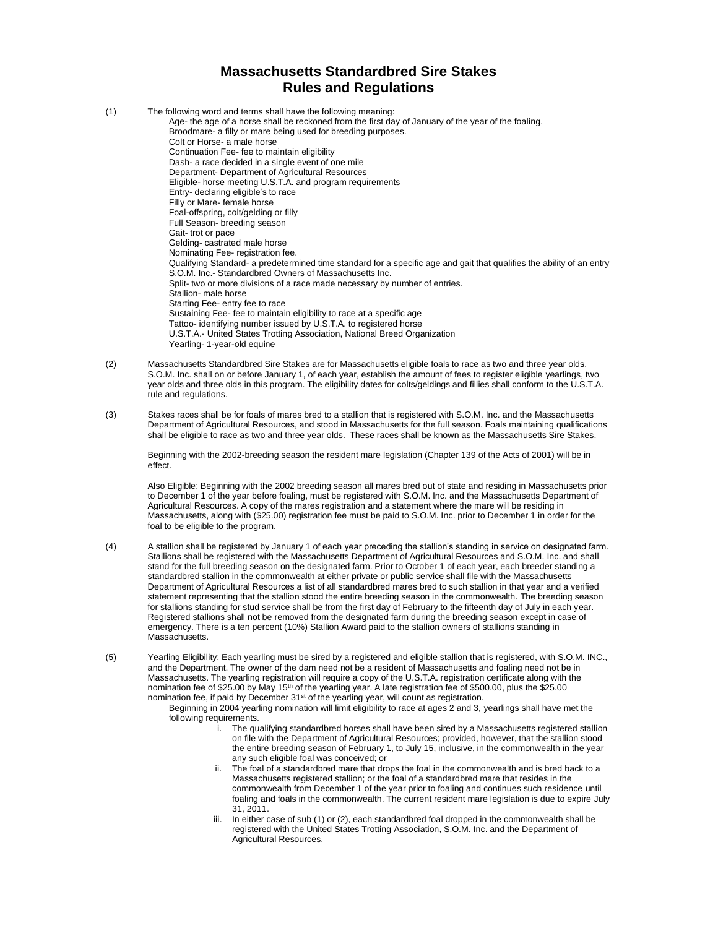## **Massachusetts Standardbred Sire Stakes Rules and Regulations**

| (1) | The following word and terms shall have the following meaning:                                                        |
|-----|-----------------------------------------------------------------------------------------------------------------------|
|     | Age- the age of a horse shall be reckoned from the first day of January of the year of the foaling.                   |
|     | Broodmare- a filly or mare being used for breeding purposes.                                                          |
|     | Colt or Horse- a male horse                                                                                           |
|     | Continuation Fee- fee to maintain eligibility                                                                         |
|     | Dash- a race decided in a single event of one mile                                                                    |
|     | Department- Department of Agricultural Resources                                                                      |
|     | Eligible- horse meeting U.S.T.A. and program requirements                                                             |
|     | Entry- declaring eligible's to race                                                                                   |
|     | Filly or Mare- female horse                                                                                           |
|     | Foal-offspring, colt/gelding or filly                                                                                 |
|     | Full Season- breeding season                                                                                          |
|     | Gait-trot or pace                                                                                                     |
|     | Gelding-castrated male horse                                                                                          |
|     | Nominating Fee- registration fee.                                                                                     |
|     | Qualifying Standard- a predetermined time standard for a specific age and gait that qualifies the ability of an entry |
|     | S.O.M. Inc.- Standardbred Owners of Massachusetts Inc.                                                                |
|     | Split-two or more divisions of a race made necessary by number of entries.                                            |
|     | Stallion- male horse                                                                                                  |
|     | Starting Fee- entry fee to race                                                                                       |
|     | Sustaining Fee-fee to maintain eligibility to race at a specific age                                                  |
|     | Tattoo- identifying number issued by U.S.T.A. to registered horse                                                     |
|     | U.S.T.A.- United States Trotting Association, National Breed Organization                                             |
|     | Yearling- 1-year-old equine                                                                                           |
|     |                                                                                                                       |

- (2) Massachusetts Standardbred Sire Stakes are for Massachusetts eligible foals to race as two and three year olds. S.O.M. Inc. shall on or before January 1, of each year, establish the amount of fees to register eligible yearlings, two year olds and three olds in this program. The eligibility dates for colts/geldings and fillies shall conform to the U.S.T.A. rule and regulations.
- (3) Stakes races shall be for foals of mares bred to a stallion that is registered with S.O.M. Inc. and the Massachusetts Department of Agricultural Resources, and stood in Massachusetts for the full season. Foals maintaining qualifications shall be eligible to race as two and three year olds. These races shall be known as the Massachusetts Sire Stakes.

Beginning with the 2002-breeding season the resident mare legislation (Chapter 139 of the Acts of 2001) will be in effect.

Also Eligible: Beginning with the 2002 breeding season all mares bred out of state and residing in Massachusetts prior to December 1 of the year before foaling, must be registered with S.O.M. Inc. and the Massachusetts Department of Agricultural Resources. A copy of the mares registration and a statement where the mare will be residing in Massachusetts, along with (\$25.00) registration fee must be paid to S.O.M. Inc. prior to December 1 in order for the foal to be eligible to the program.

- (4) A stallion shall be registered by January 1 of each year preceding the stallion's standing in service on designated farm. Stallions shall be registered with the Massachusetts Department of Agricultural Resources and S.O.M. Inc. and shall stand for the full breeding season on the designated farm. Prior to October 1 of each year, each breeder standing a standardbred stallion in the commonwealth at either private or public service shall file with the Massachusetts Department of Agricultural Resources a list of all standardbred mares bred to such stallion in that year and a verified statement representing that the stallion stood the entire breeding season in the commonwealth. The breeding season for stallions standing for stud service shall be from the first day of February to the fifteenth day of July in each year. Registered stallions shall not be removed from the designated farm during the breeding season except in case of emergency. There is a ten percent (10%) Stallion Award paid to the stallion owners of stallions standing in Massachusetts.
- (5) Yearling Eligibility: Each yearling must be sired by a registered and eligible stallion that is registered, with S.O.M. INC., and the Department. The owner of the dam need not be a resident of Massachusetts and foaling need not be in Massachusetts. The yearling registration will require a copy of the U.S.T.A. registration certificate along with the nomination fee of \$25.00 by May 15th of the yearling year. A late registration fee of \$500.00, plus the \$25.00 nomination fee, if paid by December 31<sup>st</sup> of the yearling year, will count as registration.
	- Beginning in 2004 yearling nomination will limit eligibility to race at ages 2 and 3, yearlings shall have met the following requirements.
		- .<br>i. The qualifying standardbred horses shall have been sired by a Massachusetts registered stallion on file with the Department of Agricultural Resources; provided, however, that the stallion stood the entire breeding season of February 1, to July 15, inclusive, in the commonwealth in the year any such eligible foal was conceived; or
		- ii. The foal of a standardbred mare that drops the foal in the commonwealth and is bred back to a Massachusetts registered stallion; or the foal of a standardbred mare that resides in the commonwealth from December 1 of the year prior to foaling and continues such residence until foaling and foals in the commonwealth. The current resident mare legislation is due to expire July 31, 2011.
		- iii. In either case of sub (1) or (2), each standardbred foal dropped in the commonwealth shall be registered with the United States Trotting Association, S.O.M. Inc. and the Department of Agricultural Resources.